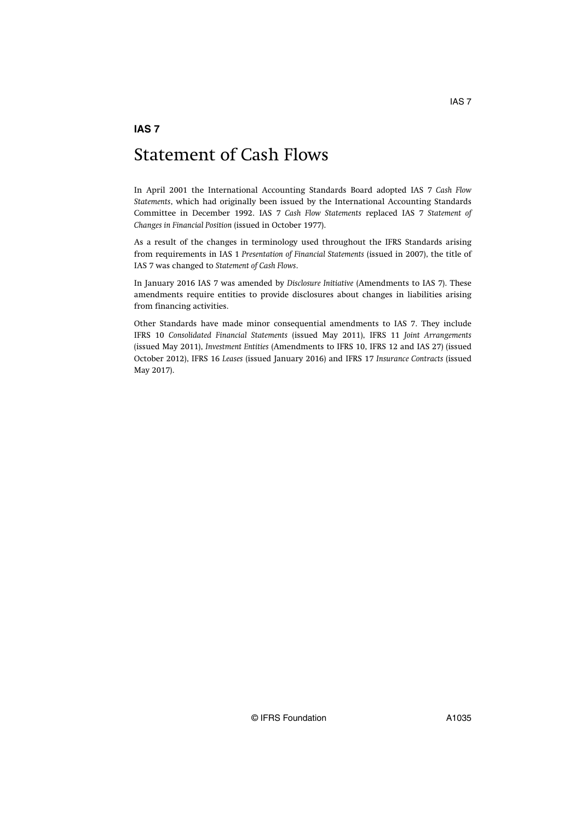# Statement of Cash Flows

**IAS 7**

In April 2001 the International Accounting Standards Board adopted IAS 7 *Cash Flow Statements*, which had originally been issued by the International Accounting Standards Committee in December 1992. IAS 7 *Cash Flow Statements* replaced IAS 7 *Statement of Changes in Financial Position* (issued in October 1977).

As a result of the changes in terminology used throughout the IFRS Standards arising from requirements in IAS 1 *Presentation of Financial Statements* (issued in 2007), the title of IAS 7 was changed to *Statement of Cash Flows*.

In January 2016 IAS 7 was amended by *Disclosure Initiative* (Amendments to IAS 7). These amendments require entities to provide disclosures about changes in liabilities arising from financing activities.

Other Standards have made minor consequential amendments to IAS 7. They include IFRS 10 *Consolidated Financial Statements* (issued May 2011), IFRS 11 *Joint Arrangements* (issued May 2011), *Investment Entities* (Amendments to IFRS 10, IFRS 12 and IAS 27) (issued October 2012), IFRS 16 *Leases* (issued January 2016) and IFRS 17 *Insurance Contracts* (issued May 2017).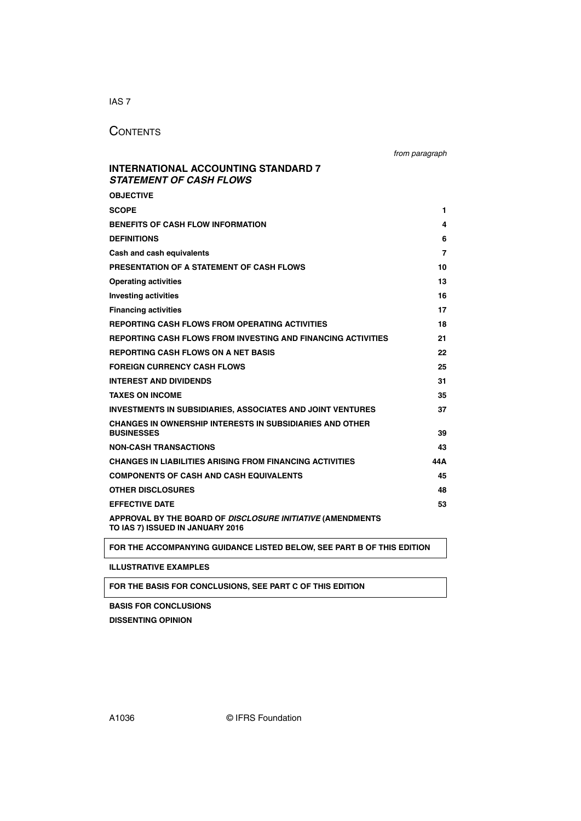IAS 7

# **CONTENTS**

from paragraph

| <b>INTERNATIONAL ACCOUNTING STANDARD 7</b><br><b>STATEMENT OF CASH FLOWS</b>                   |      |  |
|------------------------------------------------------------------------------------------------|------|--|
| <b>OBJECTIVE</b>                                                                               |      |  |
| <b>SCOPE</b>                                                                                   | 1    |  |
| <b>BENEFITS OF CASH FLOW INFORMATION</b>                                                       |      |  |
| <b>DEFINITIONS</b>                                                                             | 6    |  |
| Cash and cash equivalents                                                                      | 7    |  |
| PRESENTATION OF A STATEMENT OF CASH FLOWS                                                      | 10   |  |
| <b>Operating activities</b>                                                                    | 13   |  |
| <b>Investing activities</b>                                                                    | 16   |  |
| <b>Financing activities</b>                                                                    | 17   |  |
| REPORTING CASH FLOWS FROM OPERATING ACTIVITIES                                                 |      |  |
| REPORTING CASH FLOWS FROM INVESTING AND FINANCING ACTIVITIES                                   |      |  |
| <b>REPORTING CASH FLOWS ON A NET BASIS</b>                                                     |      |  |
| <b>FOREIGN CURRENCY CASH FLOWS</b>                                                             | 25   |  |
| <b>INTEREST AND DIVIDENDS</b>                                                                  |      |  |
| <b>TAXES ON INCOME</b>                                                                         | 35   |  |
| <b>INVESTMENTS IN SUBSIDIARIES, ASSOCIATES AND JOINT VENTURES</b>                              |      |  |
| <b>CHANGES IN OWNERSHIP INTERESTS IN SUBSIDIARIES AND OTHER</b><br><b>BUSINESSES</b>           | 39   |  |
| <b>NON-CASH TRANSACTIONS</b>                                                                   | 43   |  |
| <b>CHANGES IN LIABILITIES ARISING FROM FINANCING ACTIVITIES</b>                                | 44 A |  |
| <b>COMPONENTS OF CASH AND CASH EQUIVALENTS</b>                                                 |      |  |
| <b>OTHER DISCLOSURES</b>                                                                       | 48   |  |
| <b>EFFECTIVE DATE</b>                                                                          | 53   |  |
| APPROVAL BY THE BOARD OF DISCLOSURE INITIATIVE (AMENDMENTS<br>TO IAS 7) ISSUED IN JANUARY 2016 |      |  |
| FOR THE ACCOMPANYING GUIDANCE LISTED BELOW, SEE PART B OF THIS EDITION                         |      |  |

**ILLUSTRATIVE EXAMPLES**

**FOR THE BASIS FOR CONCLUSIONS, SEE PART C OF THIS EDITION**

**BASIS FOR CONCLUSIONS**

**DISSENTING OPINION**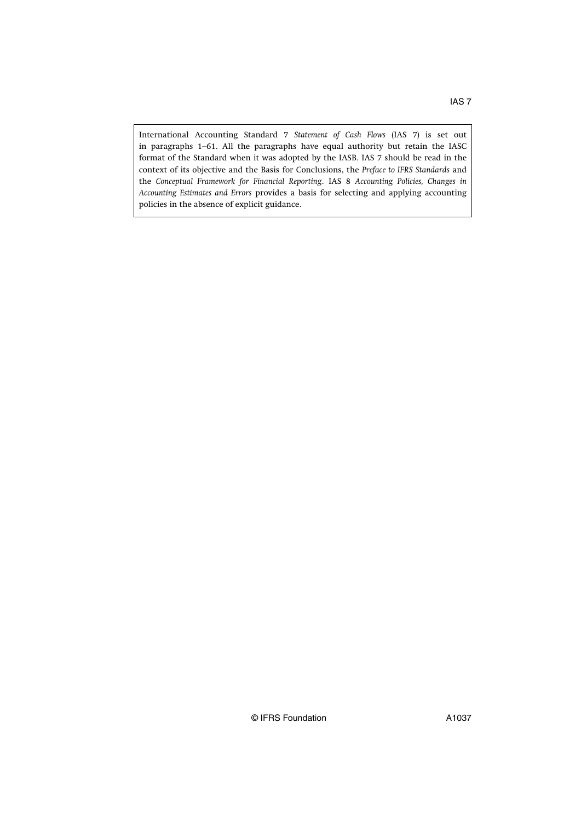International Accounting Standard 7 *Statement of Cash Flows* (IAS 7) is set out in [paragraphs 1–61](#page-3-0). All the paragraphs have equal authority but retain the IASC format of the Standard when it was adopted by the IASB. IAS 7 should be read in the context of its objective and the Basis for Conclusions, the *Preface to IFRS Standards* and the *Conceptual Framework for Financial Reporting*. IAS 8 *Accounting Policies, Changes in Accounting Estimates and Errors* provides a basis for selecting and applying accounting policies in the absence of explicit guidance.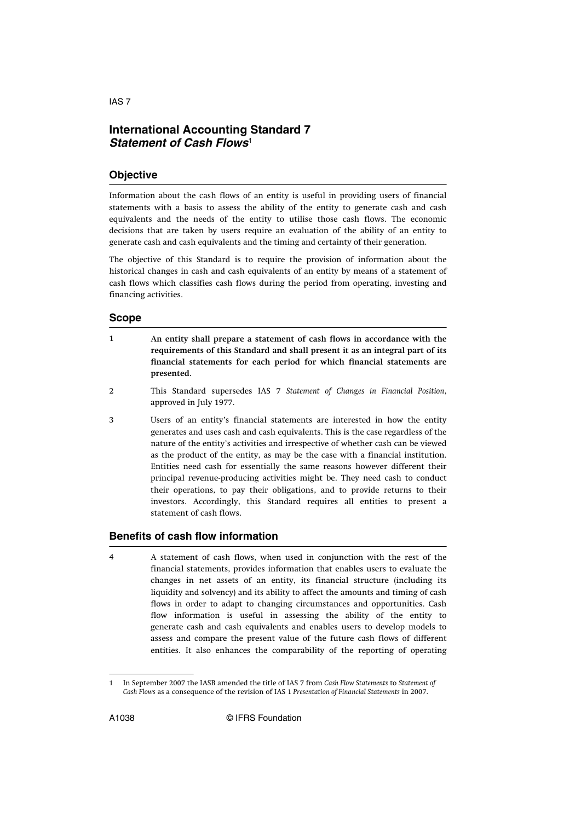## **International Accounting Standard 7 Statement of Cash Flows**<sup>1</sup>

## **Objective**

Information about the [cash flows](#page-4-0) of an entity is useful in providing users of financial statements with a basis to assess the ability of the entity to generate [cash](#page-4-0) and [cash](#page-4-0) [equivalents](#page-4-0) and the needs of the entity to utilise those cash flows. The economic decisions that are taken by users require an evaluation of the ability of an entity to generate cash and cash equivalents and the timing and certainty of their generation.

The objective of this Standard is to require the provision of information about the historical changes in cash and cash equivalents of an entity by means of a statement of cash flows which classifies cash flows during the period from [operating,](#page-4-0) [investing](#page-4-0) and [financing activities](#page-4-0).

#### **Scope**

**An entity shall prepare a statement of cash flows in accordance with the requirements of this Standard and shall present it as an integral part of its financial statements for each period for which financial statements are presented.** This Standard supersedes IAS 7 *Statement of Changes in Financial Position*, approved in July 1977. Users of an entity's financial statements are interested in how the entity generates and uses [cash](#page-4-0) and [cash equivalents.](#page-4-0) This is the case regardless of the nature of the entity's activities and irrespective of whether cash can be viewed as the product of the entity, as may be the case with a financial institution. Entities need cash for essentially the same reasons however different their principal revenue-producing activities might be. They need cash to conduct their operations, to pay their obligations, and to provide returns to their investors. Accordingly, this Standard requires all entities to present a statement of cash flows. **1**  $\overline{2}$ 3

## **Benefits of cash flow information**

A statement of cash flows, when used in conjunction with the rest of the financial statements, provides information that enables users to evaluate the changes in net assets of an entity, its financial structure (including its liquidity and solvency) and its ability to affect the amounts and timing of [cash](#page-4-0) [flows](#page-4-0) in order to adapt to changing circumstances and opportunities. Cash flow information is useful in assessing the ability of the entity to generate [cash](#page-4-0) and [cash equivalents](#page-4-0) and enables users to develop models to assess and compare the present value of the future cash flows of different entities. It also enhances the comparability of the reporting of operating 4

<span id="page-3-0"></span>IAS 7

A1038 © IFRS Foundation

<sup>1</sup> In September 2007 the IASB amended the title of IAS 7 from *Cash Flow Statements* to *Statement of Cash Flows* as a consequence of the revision of IAS 1 *Presentation of Financial Statements* in 2007.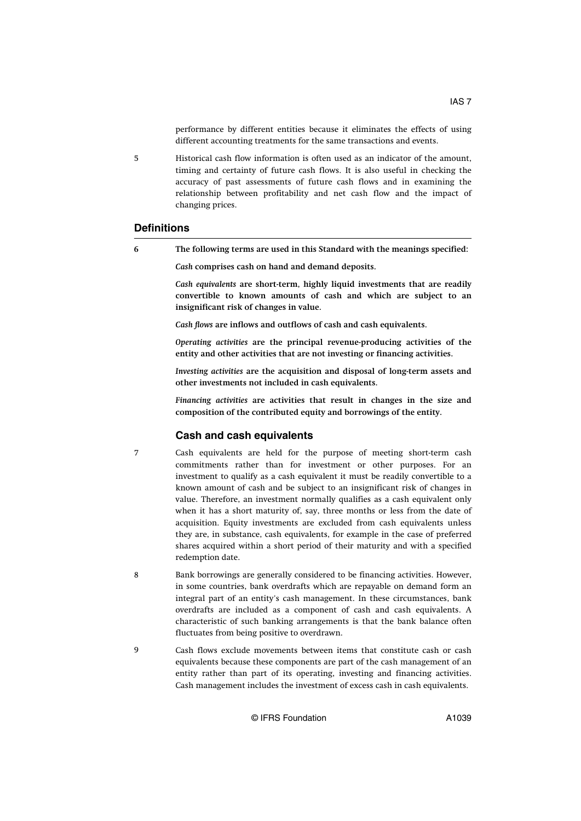performance by different entities because it eliminates the effects of using different accounting treatments for the same transactions and events.

<span id="page-4-0"></span>Historical cash flow information is often used as an indicator of the amount, timing and certainty of future cash flows. It is also useful in checking the accuracy of past assessments of future cash flows and in examining the relationship between profitability and net cash flow and the impact of changing prices. 5

## **Definitions**

**The following terms are used in this Standard with the meanings specified: 6**

*Cash* **comprises cash on hand and demand deposits.**

*Cash equivalents* **are short-term, highly liquid investments that are readily convertible to known amounts of cash and which are subject to an insignificant risk of changes in value.**

*Cash flows* **are inflows and outflows of cash and cash equivalents.**

*Operating activities* **are the principal revenue-producing activities of the entity and other activities that are not investing or financing activities.**

*Investing activities* **are the acquisition and disposal of long-term assets and other investments not included in cash equivalents.**

*Financing activities* **are activities that result in changes in the size and composition of the contributed equity and borrowings of the entity.**

#### **Cash and cash equivalents**

7

- Cash equivalents are held for the purpose of meeting short-term cash commitments rather than for investment or other purposes. For an investment to qualify as a cash equivalent it must be readily convertible to a known amount of cash and be subject to an insignificant risk of changes in value. Therefore, an investment normally qualifies as a cash equivalent only when it has a short maturity of, say, three months or less from the date of acquisition. Equity investments are excluded from cash equivalents unless they are, in substance, cash equivalents, for example in the case of preferred shares acquired within a short period of their maturity and with a specified redemption date.
- Bank borrowings are generally considered to be financing activities. However, in some countries, bank overdrafts which are repayable on demand form an integral part of an entity's cash management. In these circumstances, bank overdrafts are included as a component of cash and cash equivalents. A characteristic of such banking arrangements is that the bank balance often fluctuates from being positive to overdrawn. 8
- Cash flows exclude movements between items that constitute cash or cash equivalents because these components are part of the cash management of an entity rather than part of its operating, investing and financing activities. Cash management includes the investment of excess cash in cash equivalents.  $\mathbf{o}$

IAS 7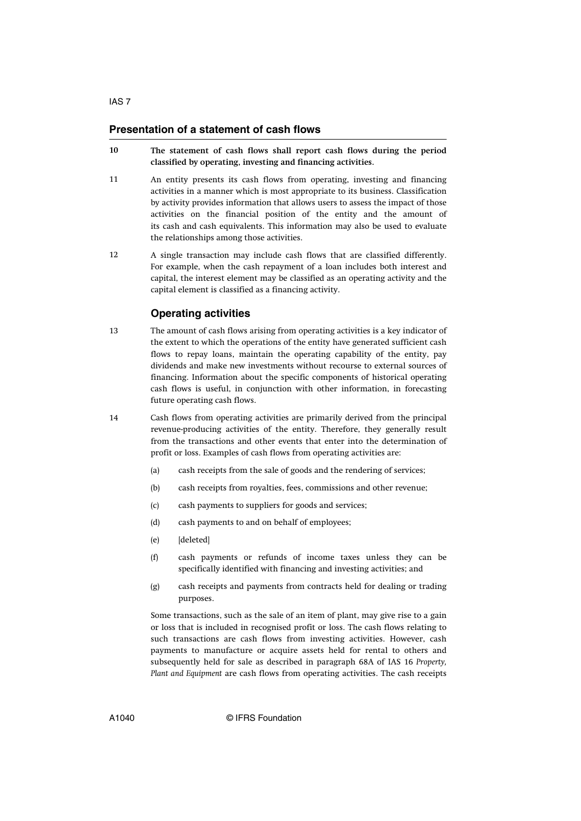**Presentation of a statement of cash flows**

- **The statement of cash flows shall report [cash flows](#page-4-0) during the period classified by [operating](#page-4-0), [investing](#page-4-0) and [financing activities](#page-4-0). 10**
- An entity presents its [cash flows](#page-4-0) from [operating,](#page-4-0) [investing](#page-4-0) and [financing](#page-4-0) [activities](#page-4-0) in a manner which is most appropriate to its business. Classification by activity provides information that allows users to assess the impact of those activities on the financial position of the entity and the amount of its [cash](#page-4-0) and [cash equivalents.](#page-4-0) This information may also be used to evaluate the relationships among those activities. 11
- A single transaction may include [cash flows](#page-4-0) that are classified differently. For example, when the cash repayment of a loan includes both interest and capital, the interest element may be classified as an [operating activity](#page-4-0) and the capital element is classified as a [financing activity](#page-4-0). 12

## **Operating activities**

- The amount of [cash flows](#page-4-0) arising from [operating activities](#page-4-0) is a key indicator of the extent to which the operations of the entity have generated sufficient cash flows to repay loans, maintain the operating capability of the entity, pay dividends and make new investments without recourse to external sources of financing. Information about the specific components of historical operating cash flows is useful, in conjunction with other information, in forecasting future operating cash flows. 13
- [Cash flows](#page-4-0) from [operating activities](#page-4-0) are primarily derived from the principal revenue-producing activities of the entity. Therefore, they generally result from the transactions and other events that enter into the determination of profit or loss. Examples of cash flows from operating activities are: 14
	- (a) cash receipts from the sale of goods and the rendering of services;
	- (b) cash receipts from royalties, fees, commissions and other revenue;
	- (c) cash payments to suppliers for goods and services;
	- (d) cash payments to and on behalf of employees;
	- (e) [deleted]
	- (f) cash payments or refunds of income taxes unless they can be specifically identified with [financing](#page-4-0) and [investing activities;](#page-4-0) and
	- (g) cash receipts and payments from contracts held for dealing or trading purposes.

Some transactions, such as the sale of an item of plant, may give rise to a gain or loss that is included in recognised profit or loss. The [cash flows](#page-4-0) relating to such transactions are cash flows from investing activities. However, cash payments to manufacture or acquire assets held for rental to others and subsequently held for sale as described in paragraph 68A of IAS 16 *Property, Plant and Equipment* are [cash flows](#page-4-0) from [operating activities](#page-4-0). The cash receipts

A1040 © IFRS Foundation

<span id="page-5-0"></span>IAS 7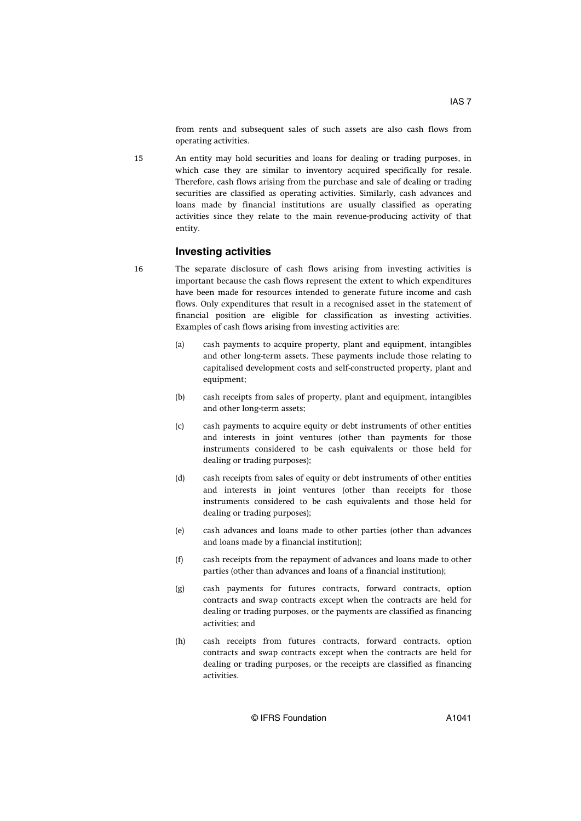from rents and subsequent sales of such assets are also cash flows from operating activities.

<span id="page-6-0"></span>An entity may hold securities and loans for dealing or trading purposes, in which case they are similar to inventory acquired specifically for resale. Therefore, [cash flows](#page-4-0) arising from the purchase and sale of dealing or trading securities are classified as [operating activities](#page-4-0). Similarly, cash advances and loans made by financial institutions are usually classified as operating activities since they relate to the main revenue-producing activity of that entity. 15

## **Investing activities**

16

- The separate disclosure of [cash flows](#page-4-0) arising from [investing activities](#page-4-0) is important because the cash flows represent the extent to which expenditures have been made for resources intended to generate future income and cash flows. Only expenditures that result in a recognised asset in the statement of financial position are eligible for classification as investing activities. Examples of cash flows arising from investing activities are:
	- (a) cash payments to acquire property, plant and equipment, intangibles and other long-term assets. These payments include those relating to capitalised development costs and self-constructed property, plant and equipment;
	- (b) cash receipts from sales of property, plant and equipment, intangibles and other long-term assets;
	- (c) cash payments to acquire equity or debt instruments of other entities and interests in joint ventures (other than payments for those instruments considered to be [cash equivalents](#page-4-0) or those held for dealing or trading purposes);
	- (d) cash receipts from sales of equity or debt instruments of other entities and interests in joint ventures (other than receipts for those instruments considered to be [cash equivalents](#page-4-0) and those held for dealing or trading purposes);
	- (e) cash advances and loans made to other parties (other than advances and loans made by a financial institution);
	- (f) cash receipts from the repayment of advances and loans made to other parties (other than advances and loans of a financial institution);
	- (g) cash payments for futures contracts, forward contracts, option contracts and swap contracts except when the contracts are held for dealing or trading purposes, or the payments are classified as [financing](#page-4-0) [activities;](#page-4-0) and
	- (h) cash receipts from futures contracts, forward contracts, option contracts and swap contracts except when the contracts are held for dealing or trading purposes, or the receipts are classified as financing activities.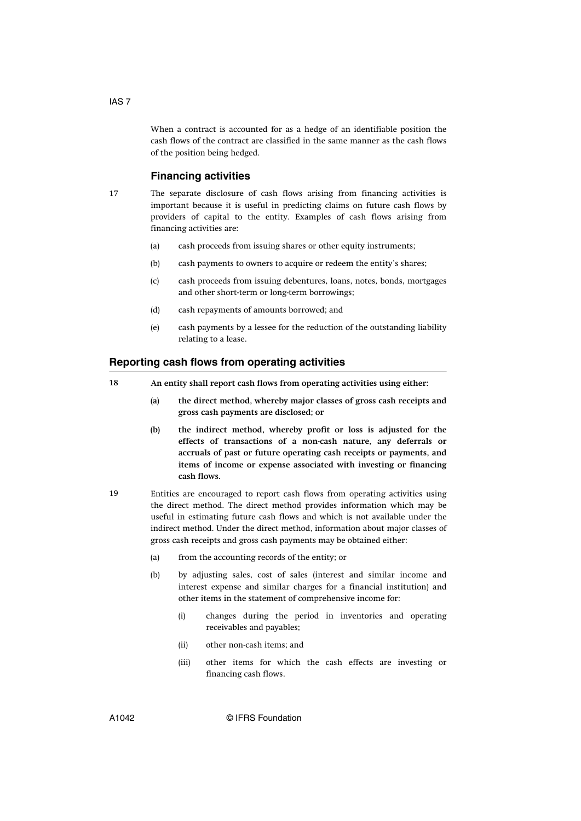<span id="page-7-0"></span>When a contract is accounted for as a hedge of an identifiable position the cash flows of the contract are classified in the same manner as the cash flows of the position being hedged.

#### **Financing activities**

The separate disclosure of [cash flows](#page-4-0) arising from [financing activities](#page-4-0) is important because it is useful in predicting claims on future cash flows by providers of capital to the entity. Examples of cash flows arising from financing activities are: 17

- (a) cash proceeds from issuing shares or other equity instruments;
- (b) cash payments to owners to acquire or redeem the entity's shares;
- (c) cash proceeds from issuing debentures, loans, notes, bonds, mortgages and other short-term or long-term borrowings;
- (d) cash repayments of amounts borrowed; and
- (e) cash payments by a lessee for the reduction of the outstanding liability relating to a lease.

## **Reporting cash flows from operating activities**

**18**

**An entity shall report [cash flows](#page-4-0) from [operating activities](#page-4-0) using either:**

- **(a) the direct method, whereby major classes of gross cash receipts and gross cash payments are disclosed; or**
- **(b) the indirect method, whereby profit or loss is adjusted for the effects of transactions of a non-cash nature, any deferrals or accruals of past or future operating cash receipts or payments, and items of income or expense associated with [investing](#page-4-0) or [financing](#page-4-0) [cash flows](#page-4-0).**
- Entities are encouraged to report [cash flows](#page-4-0) from [operating activities](#page-4-0) using the direct method. The direct method provides information which may be useful in estimating future cash flows and which is not available under the indirect method. Under the direct method, information about major classes of gross cash receipts and gross cash payments may be obtained either: 19
	- (a) from the accounting records of the entity; or
	- (b) by adjusting sales, cost of sales (interest and similar income and interest expense and similar charges for a financial institution) and other items in the statement of comprehensive income for:
		- (i) changes during the period in inventories and [operating](#page-4-0) receivables and payables;
		- (ii) other non-cash items; and
		- (iii) other items for which the cash effects are [investing](#page-4-0) or [financing cash flows](#page-4-0).

A1042 © IFRS Foundation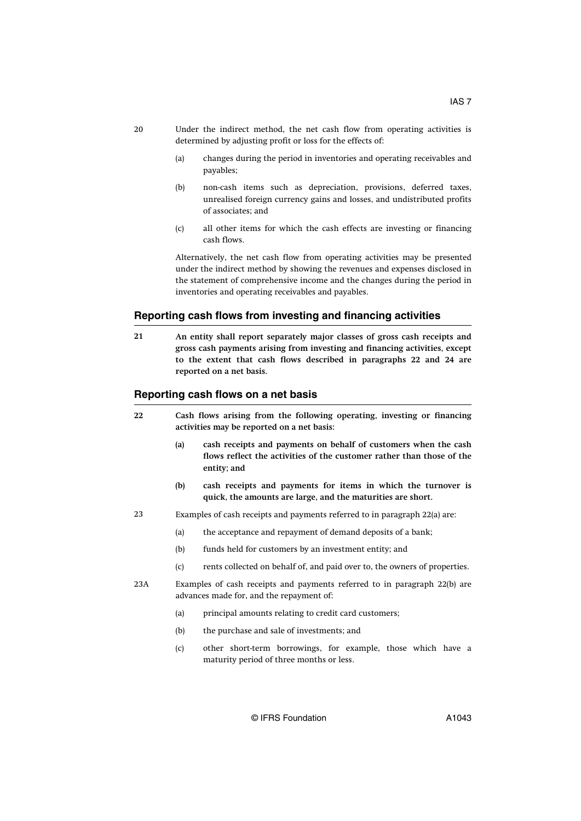- Under the indirect method, the net cash flow from [operating activities](#page-4-0) is determined by adjusting profit or loss for the effects of:
	- (a) changes during the period in inventories and operating receivables and payables;
	- (b) non-cash items such as depreciation, provisions, deferred taxes, unrealised foreign currency gains and losses, and undistributed profits of associates; and
	- (c) all other items for which the cash effects are [investing](#page-4-0) or [financing](#page-4-0) [cash flows](#page-4-0).

Alternatively, the net cash flow from operating activities may be presented under the indirect method by showing the revenues and expenses disclosed in the statement of comprehensive income and the changes during the period in inventories and operating receivables and payables.

#### **Reporting cash flows from investing and financing activities**

**An entity shall report separately major classes of gross cash receipts and gross cash payments arising from [investing](#page-4-0) and [financing activities](#page-4-0), except to the extent that [cash flows](#page-4-0) described in paragraphs 22 and 24 are reported on a net basis. 21**

#### **Reporting cash flows on a net basis**

- **[Cash flows](#page-4-0) arising from the following [operating](#page-4-0), [investing](#page-4-0) or [financing](#page-4-0) [activities](#page-4-0) may be reported on a net basis: 22**
	- **(a) cash receipts and payments on behalf of customers when the cash flows reflect the activities of the customer rather than those of the entity; and**
	- **(b) cash receipts and payments for items in which the turnover is quick, the amounts are large, and the maturities are short.**
- Examples of cash receipts and payments referred to in paragraph 22(a) are: 23
	- (a) the acceptance and repayment of demand deposits of a bank;
	- (b) funds held for customers by an investment entity; and
	- (c) rents collected on behalf of, and paid over to, the owners of properties.
- Examples of cash receipts and payments referred to in paragraph 22(b) are advances made for, and the repayment of: 23A
	- (a) principal amounts relating to credit card customers;
	- (b) the purchase and sale of investments; and
	- (c) other short-term borrowings, for example, those which have a maturity period of three months or less.

© IFRS Foundation A1043

<span id="page-8-0"></span>20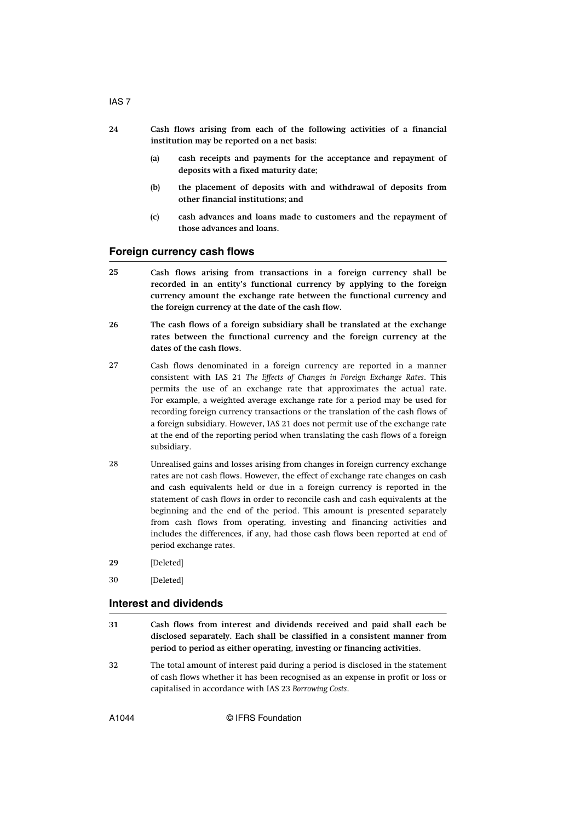- **[Cash flows](#page-4-0) arising from each of the following activities of a financial institution may be reported on a net basis: 24**
	- **(a) cash receipts and payments for the acceptance and repayment of deposits with a fixed maturity date;**
	- **(b) the placement of deposits with and withdrawal of deposits from other financial institutions; and**
	- **(c) cash advances and loans made to customers and the repayment of those advances and loans.**

## **Foreign currency cash flows**

- **[Cash flows](#page-4-0) arising from transactions in a foreign currency shall be recorded in an entity's functional currency by applying to the foreign currency amount the exchange rate between the functional currency and the foreign currency at the date of the cash flow. 25**
- **The [cash flows](#page-4-0) of a foreign subsidiary shall be translated at the exchange rates between the functional currency and the foreign currency at the dates of the cash flows. 26**
- [Cash flows](#page-4-0) denominated in a foreign currency are reported in a manner consistent with IAS 21 *The Effects of Changes in Foreign Exchange Rates*. This permits the use of an exchange rate that approximates the actual rate. For example, a weighted average exchange rate for a period may be used for recording foreign currency transactions or the translation of the cash flows of a foreign subsidiary. However, IAS 21 does not permit use of the exchange rate at the end of the reporting period when translating the cash flows of a foreign subsidiary. 27
- Unrealised gains and losses arising from changes in foreign currency exchange rates are not [cash flows.](#page-4-0) However, the effect of exchange rate changes on [cash](#page-4-0) and [cash equivalents](#page-4-0) held or due in a foreign currency is reported in the statement of cash flows in order to reconcile cash and cash equivalents at the beginning and the end of the period. This amount is presented separately from cash flows from [operating,](#page-4-0) [investing](#page-4-0) and [financing activities](#page-4-0) and includes the differences, if any, had those cash flows been reported at end of period exchange rates. 28
- [Deleted] **29**
- [Deleted] 30

#### **Interest and dividends**

- **[Cash flows](#page-4-0) from interest and dividends received and paid shall each be disclosed separately. Each shall be classified in a consistent manner from period to period as either [operating](#page-4-0), [investing](#page-4-0) or [financing activities](#page-4-0). 31**
- The total amount of interest paid during a period is disclosed in the statement of cash flows whether it has been recognised as an expense in profit or loss or capitalised in accordance with IAS 23 *Borrowing Costs*. 32

<span id="page-9-0"></span>IAS 7

A1044 © IFRS Foundation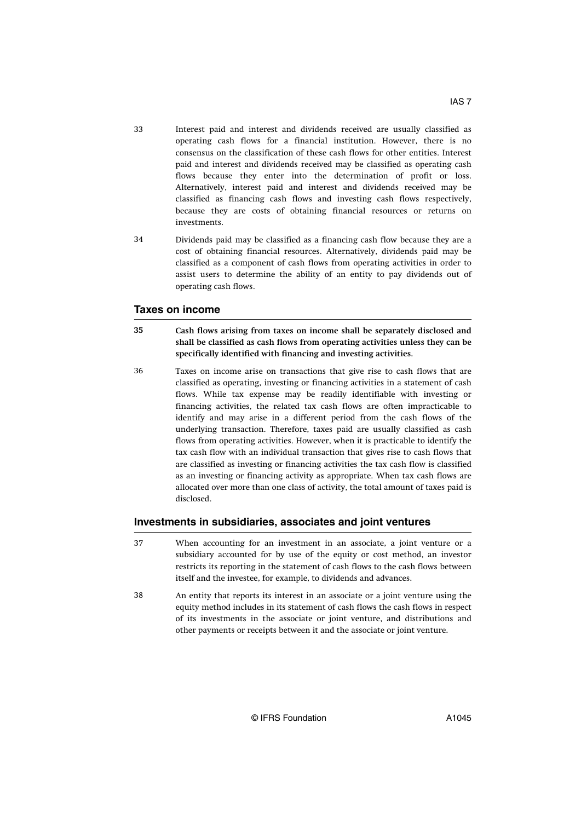- <span id="page-10-0"></span>Interest paid and interest and dividends received are usually classified as [operating cash flows](#page-4-0) for a financial institution. However, there is no consensus on the classification of these cash flows for other entities. Interest paid and interest and dividends received may be classified as operating cash flows because they enter into the determination of profit or loss. Alternatively, interest paid and interest and dividends received may be classified as [financing](#page-4-0) cash flows and [investing](#page-4-0) cash flows respectively, because they are costs of obtaining financial resources or returns on investments. 33
- Dividends paid may be classified as a [financing cash flow](#page-4-0) because they are a cost of obtaining financial resources. Alternatively, dividends paid may be classified as a component of cash flows from [operating activities](#page-4-0) in order to assist users to determine the ability of an entity to pay dividends out of operating cash flows. 34

#### **Taxes on income**

- **[Cash flows](#page-4-0) arising from taxes on income shall be separately disclosed and shall be classified as cash flows from [operating activities](#page-4-0) unless they can be specifically identified with [financing](#page-4-0) and [investing activities](#page-4-0). 35**
- Taxes on income arise on transactions that give rise to [cash flows](#page-4-0) that are classified as [operating,](#page-4-0) [investing](#page-4-0) or [financing activities](#page-4-0) in a statement of cash flows. While tax expense may be readily identifiable with investing or financing activities, the related tax cash flows are often impracticable to identify and may arise in a different period from the cash flows of the underlying transaction. Therefore, taxes paid are usually classified as cash flows from operating activities. However, when it is practicable to identify the tax cash flow with an individual transaction that gives rise to cash flows that are classified as investing or financing activities the tax cash flow is classified as an investing or financing activity as appropriate. When tax cash flows are allocated over more than one class of activity, the total amount of taxes paid is disclosed. 36

#### **Investments in subsidiaries, associates and joint ventures**

- When accounting for an investment in an associate, a joint venture or a subsidiary accounted for by use of the equity or cost method, an investor restricts its reporting in the statement of cash flows to the [cash flows](#page-4-0) between itself and the investee, for example, to dividends and advances. 37
- An entity that reports its interest in an associate or a joint venture using the equity method includes in its statement of cash flows the cash flows in respect of its investments in the associate or joint venture, and distributions and other payments or receipts between it and the associate or joint venture. 38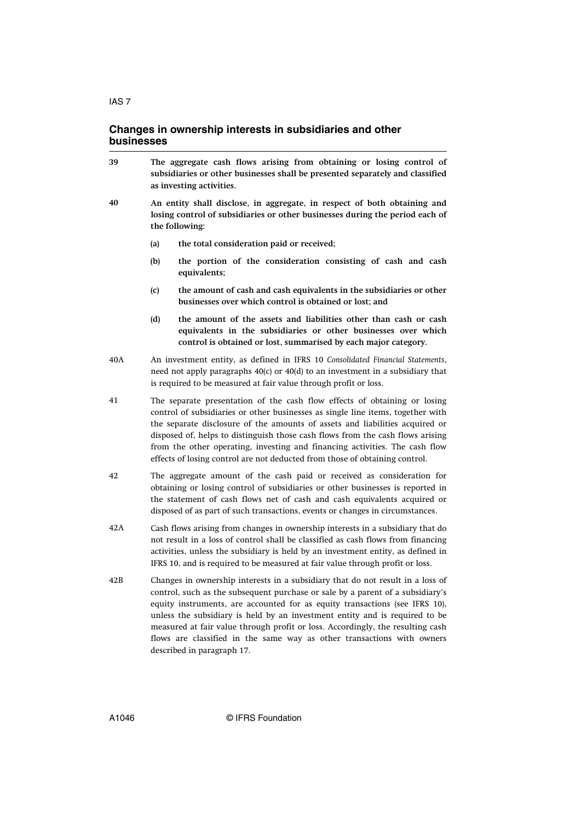## <span id="page-11-0"></span>**Changes in ownership interests in subsidiaries and other businesses**

| 39   | The aggregate cash flows arising from obtaining or losing control of<br>subsidiaries or other businesses shall be presented separately and classified<br>as investing activities.                                                                                                                                                                                                                                                                                                                                        |                                                                                                                                                                                                       |  |
|------|--------------------------------------------------------------------------------------------------------------------------------------------------------------------------------------------------------------------------------------------------------------------------------------------------------------------------------------------------------------------------------------------------------------------------------------------------------------------------------------------------------------------------|-------------------------------------------------------------------------------------------------------------------------------------------------------------------------------------------------------|--|
| 40   | An entity shall disclose, in aggregate, in respect of both obtaining and<br>losing control of subsidiaries or other businesses during the period each of<br>the following:                                                                                                                                                                                                                                                                                                                                               |                                                                                                                                                                                                       |  |
|      | (a)                                                                                                                                                                                                                                                                                                                                                                                                                                                                                                                      | the total consideration paid or received;                                                                                                                                                             |  |
|      | (b)                                                                                                                                                                                                                                                                                                                                                                                                                                                                                                                      | the portion of the consideration consisting of cash and cash<br>equivalents;                                                                                                                          |  |
|      | (c)                                                                                                                                                                                                                                                                                                                                                                                                                                                                                                                      | the amount of cash and cash equivalents in the subsidiaries or other<br>businesses over which control is obtained or lost; and                                                                        |  |
|      | (d)                                                                                                                                                                                                                                                                                                                                                                                                                                                                                                                      | the amount of the assets and liabilities other than cash or cash<br>equivalents in the subsidiaries or other businesses over which<br>control is obtained or lost, summarised by each major category. |  |
| 40A  | An investment entity, as defined in IFRS 10 Consolidated Financial Statements,<br>need not apply paragraphs 40(c) or 40(d) to an investment in a subsidiary that<br>is required to be measured at fair value through profit or loss.                                                                                                                                                                                                                                                                                     |                                                                                                                                                                                                       |  |
| 41   | The separate presentation of the cash flow effects of obtaining or losing<br>control of subsidiaries or other businesses as single line items, together with<br>the separate disclosure of the amounts of assets and liabilities acquired or<br>disposed of, helps to distinguish those cash flows from the cash flows arising<br>from the other operating, investing and financing activities. The cash flow<br>effects of losing control are not deducted from those of obtaining control.                             |                                                                                                                                                                                                       |  |
| 42   | The aggregate amount of the cash paid or received as consideration for<br>obtaining or losing control of subsidiaries or other businesses is reported in<br>the statement of cash flows net of cash and cash equivalents acquired or<br>disposed of as part of such transactions, events or changes in circumstances.                                                                                                                                                                                                    |                                                                                                                                                                                                       |  |
| 42 A | Cash flows arising from changes in ownership interests in a subsidiary that do<br>not result in a loss of control shall be classified as cash flows from financing<br>activities, unless the subsidiary is held by an investment entity, as defined in<br>IFRS 10, and is required to be measured at fair value through profit or loss.                                                                                                                                                                                  |                                                                                                                                                                                                       |  |
| 42B  | Changes in ownership interests in a subsidiary that do not result in a loss of<br>control, such as the subsequent purchase or sale by a parent of a subsidiary's<br>equity instruments, are accounted for as equity transactions (see IFRS 10),<br>unless the subsidiary is held by an investment entity and is required to be<br>measured at fair value through profit or loss. Accordingly, the resulting cash<br>flows are classified in the same way as other transactions with owners<br>described in paragraph 17. |                                                                                                                                                                                                       |  |

A1046 **C** IFRS Foundation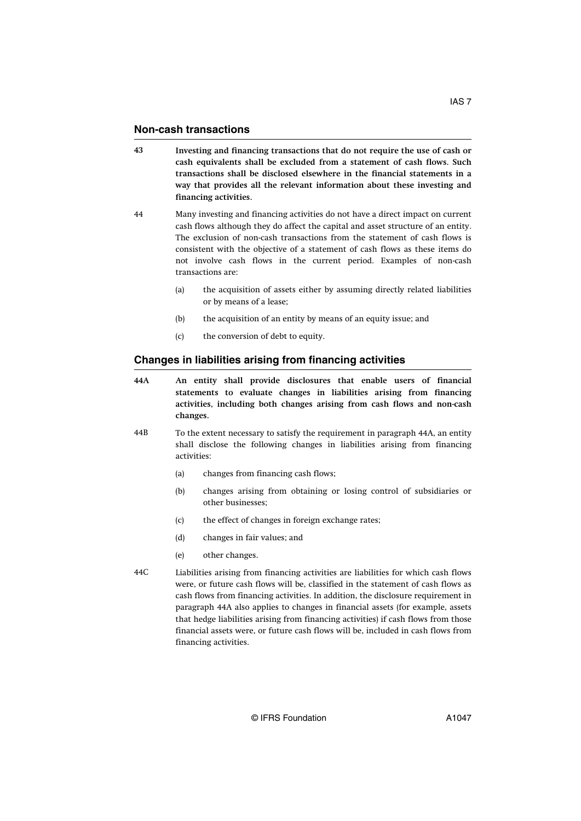#### <span id="page-12-0"></span>**Non-cash transactions**

- **Investing and financing transactions that do not require the use of [cash](#page-4-0) or [cash equivalents](#page-4-0) shall be excluded from a statement of cash flows. Such transactions shall be disclosed elsewhere in the financial statements in a way that provides all the relevant information about these [investing](#page-4-0) and [financing activities](#page-4-0). 43**
- Many [investing](#page-4-0) and [financing activities](#page-4-0) do not have a direct impact on current [cash flows](#page-4-0) although they do affect the capital and asset structure of an entity. The exclusion of non-cash transactions from the statement of cash flows is consistent with the objective of a statement of cash flows as these items do not involve cash flows in the current period. Examples of non-cash transactions are: 44
	- (a) the acquisition of assets either by assuming directly related liabilities or by means of a lease;
	- (b) the acquisition of an entity by means of an equity issue; and
	- (c) the conversion of debt to equity.

## **Changes in liabilities arising from financing activities**

- **An entity shall provide disclosures that enable users of financial statements to evaluate changes in liabilities arising from [financing](#page-4-0) [activities](#page-4-0), including both changes arising from [cash flows](#page-4-0) and non-cash changes. 44A**
- To the extent necessary to satisfy the requirement in paragraph 44A, an entity shall disclose the following changes in liabilities arising from [financing](#page-4-0) [activities](#page-4-0): 44B
	- (a) changes from financing [cash flows;](#page-4-0)
	- (b) changes arising from obtaining or losing control of subsidiaries or other businesses;
	- (c) the effect of changes in foreign exchange rates;
	- (d) changes in fair values; and
	- (e) other changes.
- Liabilities arising from [financing activities](#page-4-0) are liabilities for which [cash flows](#page-4-0) were, or future cash flows will be, classified in the statement of cash flows as cash flows from financing activities. In addition, the disclosure requirement in paragraph 44A also applies to changes in financial assets (for example, assets that hedge liabilities arising from financing activities) if cash flows from those financial assets were, or future cash flows will be, included in cash flows from financing activities. 44C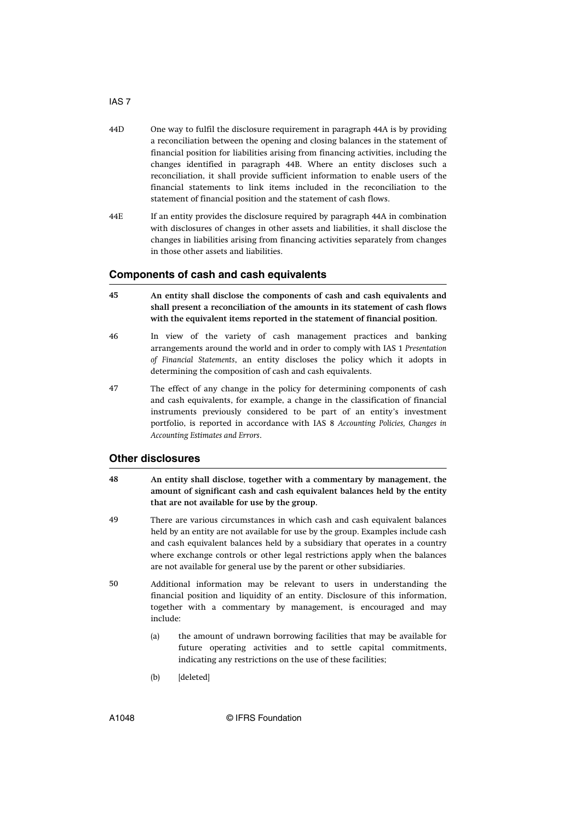- One way to fulfil the disclosure requirement in paragraph 44A is by providing a reconciliation between the opening and closing balances in the statement of financial position for liabilities arising from [financing activities,](#page-4-0) including the changes identified in paragraph 44B. Where an entity discloses such a reconciliation, it shall provide sufficient information to enable users of the financial statements to link items included in the reconciliation to the statement of financial position and the statement of cash flows. 44D
- If an entity provides the disclosure required by paragraph 44A in combination with disclosures of changes in other assets and liabilities, it shall disclose the changes in liabilities arising from [financing activities](#page-4-0) separately from changes in those other assets and liabilities. 44E

## **Components of cash and cash equivalents**

- **An entity shall disclose the components of [cash](#page-4-0) and [cash equivalents](#page-4-0) and shall present a reconciliation of the amounts in its statement of cash flows with the equivalent items reported in the statement of financial position. 45**
- In view of the variety of cash management practices and banking arrangements around the world and in order to comply with IAS 1 *Presentation of Financial Statements*, an entity discloses the policy which it adopts in determining the composition of [cash](#page-4-0) and [cash equivalents.](#page-4-0) 46
- The effect of any change in the policy for determining components of [cash](#page-4-0) and [cash equivalents](#page-4-0), for example, a change in the classification of financial instruments previously considered to be part of an entity's investment portfolio, is reported in accordance with IAS 8 *Accounting Policies, Changes in Accounting Estimates and Errors*. 47

#### **Other disclosures**

- **An entity shall disclose, together with a commentary by management, the amount of significant [cash](#page-4-0) and [cash equivalent](#page-4-0) balances held by the entity that are not available for use by the group. 48**
- There are various circumstances in which [cash](#page-4-0) and [cash equivalent](#page-4-0) balances held by an entity are not available for use by the group. Examples include cash and cash equivalent balances held by a subsidiary that operates in a country where exchange controls or other legal restrictions apply when the balances are not available for general use by the parent or other subsidiaries. 49
- Additional information may be relevant to users in understanding the financial position and liquidity of an entity. Disclosure of this information, together with a commentary by management, is encouraged and may include: 50
	- (a) the amount of undrawn borrowing facilities that may be available for future operating activities and to settle capital commitments, indicating any restrictions on the use of these facilities;
	- (b) [deleted]

A1048 © IFRS Foundation

<span id="page-13-0"></span>IAS 7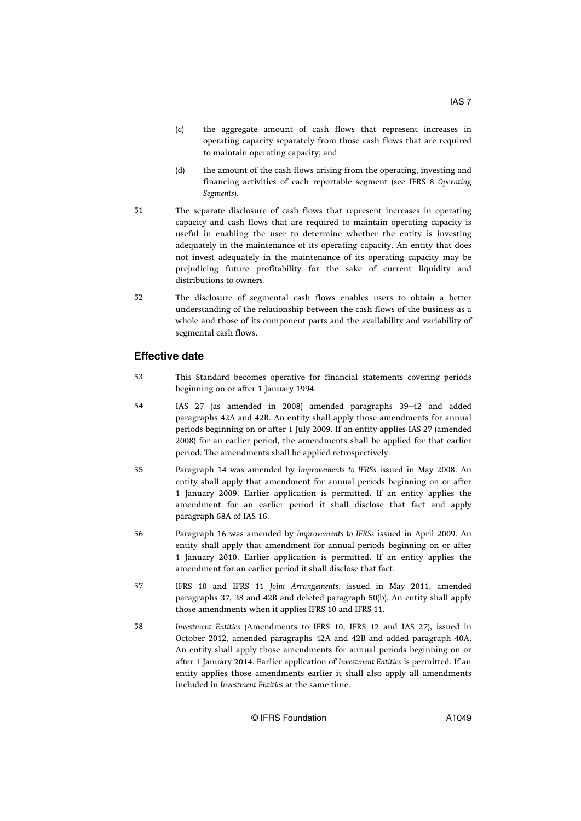- <span id="page-14-0"></span>(c) the aggregate amount of cash flows that represent increases in operating capacity separately from those cash flows that are required to maintain operating capacity; and
- (d) the amount of the cash flows arising from the operating, investing and financing activities of each reportable segment (see IFRS 8 *Operating Segments*).
- The separate disclosure of [cash flows](#page-4-0) that represent increases in operating capacity and cash flows that are required to maintain operating capacity is useful in enabling the user to determine whether the entity is [investing](#page-4-0) adequately in the maintenance of its operating capacity. An entity that does not invest adequately in the maintenance of its operating capacity may be prejudicing future profitability for the sake of current liquidity and distributions to owners. 51
- The disclosure of segmental [cash flows](#page-4-0) enables users to obtain a better understanding of the relationship between the cash flows of the business as a whole and those of its component parts and the availability and variability of segmental cash flows. 52

#### **Effective date**

- This Standard becomes operative for financial statements covering periods beginning on or after 1 January 1994. 53
- IAS 27 (as amended in 2008) amended [paragraphs 39–42](#page-11-0) and added [paragraphs 42A and 42B.](#page-11-0) An entity shall apply those amendments for annual periods beginning on or after 1 July 2009. If an entity applies IAS 27 (amended 2008) for an earlier period, the amendments shall be applied for that earlier period. The amendments shall be applied retrospectively. 54
- [Paragraph 14](#page-5-0) was amended by *Improvements to IFRSs* issued in May 2008. An entity shall apply that amendment for annual periods beginning on or after 1 January 2009. Earlier application is permitted. If an entity applies the amendment for an earlier period it shall disclose that fact and apply paragraph 68A of IAS 16. 55
- [Paragraph 16](#page-6-0) was amended by *Improvements to IFRSs* issued in April 2009. An entity shall apply that amendment for annual periods beginning on or after 1 January 2010. Earlier application is permitted. If an entity applies the amendment for an earlier period it shall disclose that fact. 56
- IFRS 10 and IFRS 11 *Joint Arrangements*, issued in May 2011, amended [paragraphs 37](#page-10-0), [38](#page-10-0) and [42B](#page-11-0) and deleted paragraph 50(b). An entity shall apply those amendments when it applies IFRS 10 and IFRS 11. 57
- *Investment Entities* (Amendments to IFRS 10, IFRS 12 and IAS 27), issued in October 2012, amended paragraphs 42A and 42B and added paragraph 40A. An entity shall apply those amendments for annual periods beginning on or after 1 January 2014. Earlier application of *Investment Entities* is permitted. If an entity applies those amendments earlier it shall also apply all amendments included in *Investment Entities* at the same time. 58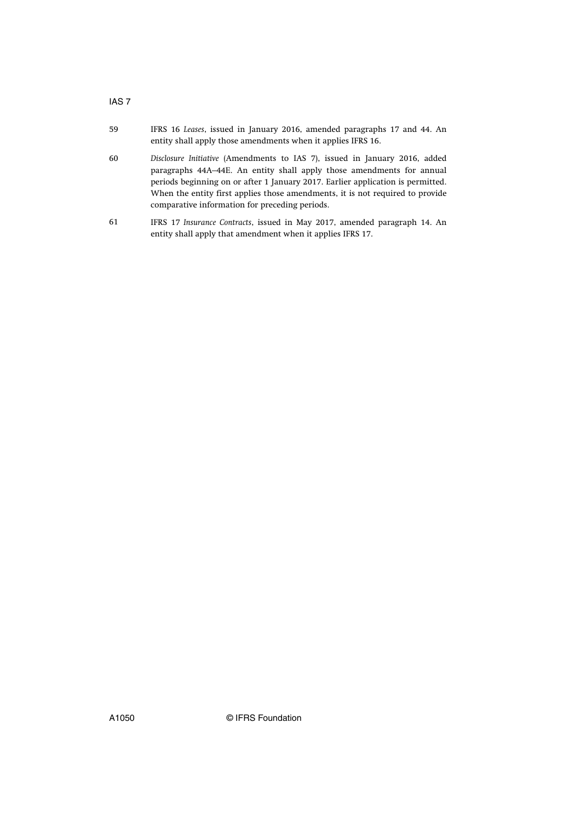- IAS 7
- IFRS 16 *Leases*, issued in January 2016, amended paragraphs 17 and 44. An entity shall apply those amendments when it applies IFRS 16. 59
- *Disclosure Initiative* (Amendments to IAS 7), issued in January 2016, added paragraphs 44A–44E. An entity shall apply those amendments for annual periods beginning on or after 1 January 2017. Earlier application is permitted. When the entity first applies those amendments, it is not required to provide comparative information for preceding periods. 60
- IFRS 17 *Insurance Contracts*, issued in May 2017, amended paragraph 14. An entity shall apply that amendment when it applies IFRS 17. 61